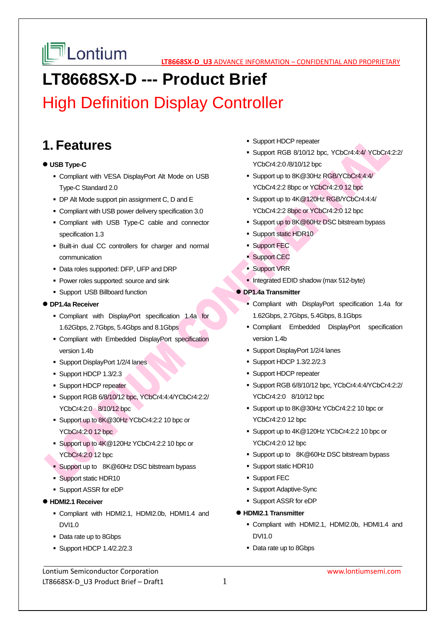

## **LT8668SX-D --- Product Brief**

High Definition Display Controller

## **1. Features**

## **USB Type-C**

- Compliant with VESA DisplayPort Alt Mode on USB Type-C Standard 2.0
- DP Alt Mode support pin assignment C, D and E
- Compliant with USB power delivery specification 3.0
- Compliant with USB Type-C cable and connector specification 1.3
- Built-in dual CC controllers for charger and normal communication
- Data roles supported: DFP, UFP and DRP
- **Power roles supported: source and sink**
- Support USB Billboard function

## **DP1.4a Receiver**

- Compliant with DisplayPort specification 1.4a for 1.62Gbps, 2.7Gbps, 5.4Gbps and 8.1Gbps
- Compliant with Embedded DisplayPort specification version 1.4b
- Support DisplayPort 1/2/4 lanes
- Support HDCP 1.3/2.3
- **Support HDCP repeater**
- Support RGB 6/8/10/12 bpc, YCbCr4:4:4/YCbCr4:2:2/ YCbCr4:2:0 8/10/12 bpc
- Support up to 8K@30Hz YCbCr4:2:2 10 bpc or YCbCr4:2:0 12 bpc
- Support up to 4K@120Hz YCbCr4:2:2 10 bpc or YCbCr4:2:0 12 bpc
- **Support up to 8K@60Hz DSC bitstream bypass**
- **Support static HDR10**
- Support ASSR for eDP
- **HDMI2.1 Receiver**
	- Compliant with HDMI2.1, HDMI2.0b, HDMI1.4 and DVI1.0
	- Data rate up to 8Gbps
	- Support HDCP 1.4/2.2/2.3
- **Support HDCP repeater**
- Support RGB 8/10/12 bpc, YCbCr4:4:4/ YCbCr4:2:2/ YCbCr4:2:0 /8/10/12 bpc
- Support up to 8K@30Hz RGB/YCbCr4:4:4/ YCbCr4:2:2 8bpc or YCbCr4:2:0 12 bpc
- Support up to 4K@120Hz RGB/YCbCr4:4:4/ YCbCr4:2:2 8bpc or YCbCr4:2:0 12 bpc
- Support up to 8K@60Hz DSC bitstream bypass
- **Support static HDR10**
- Support FEC
- **Support CEC**
- Support VRR
- Integrated EDID shadow (max 512-byte)
- **DP1.4a Transmitter** 
	- Compliant with DisplayPort specification 1.4a for 1.62Gbps, 2.7Gbps, 5.4Gbps, 8.1Gbps
	- Compliant Embedded DisplayPort specification version 1.4b
	- Support DisplayPort 1/2/4 lanes
	- **Support HDCP 1.3/2.2/2.3**
	- **Support HDCP repeater**
	- Support RGB 6/8/10/12 bpc, YCbCr4:4:4/YCbCr4:2:2/ YCbCr4:2:0 8/10/12 bpc
	- Support up to 8K@30Hz YCbCr4:2:2 10 bpc or YCbCr4:2:0 12 bpc
	- Support up to 4K@120Hz YCbCr4:2:2 10 bpc or YCbCr4:2:0 12 bpc
	- **Support up to 8K@60Hz DSC bitstream bypass**
	- Support static HDR10
	- **Support FEC**
	- Support Adaptive-Sync
	- Support ASSR for eDP
- **HDMI2.1 Transmitter** 
	- Compliant with HDMI2.1, HDMI2.0b, HDMI1.4 and DVI1.0
	- Data rate up to 8Gbps

Lontium Semiconductor Corporation www.lontiumsemi.com LT8668SX-D U3 Product Brief – Draft1 1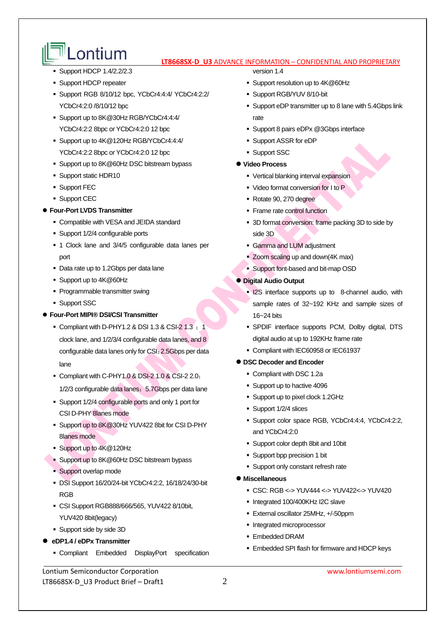# **LONTIUM LTB668SX-D U3** ADVANCE INFORMATION – CONFIDENTIAL AND PROPRIETARY

- **Support HDCP 1.4/2.2/2.3**
- **Support HDCP repeater**
- Support RGB 8/10/12 bpc, YCbCr4:4:4/ YCbCr4:2:2/ YCbCr4:2:0 /8/10/12 bpc
- Support up to 8K@30Hz RGB/YCbCr4:4:4/ YCbCr4:2:2 8bpc or YCbCr4:2:0 12 bpc
- Support up to 4K@120Hz RGB/YCbCr4:4:4/ YCbCr4:2:2 8bpc or YCbCr4:2:0 12 bpc
- Support up to 8K@60Hz DSC bitstream bypass
- **Support static HDR10**
- **Support FEC**
- **Support CEC**

## **Four-Port LVDS Transmitter**

- Compatible with VESA and JEIDA standard
- Support 1/2/4 configurable ports
- 1 Clock lane and 3/4/5 configurable data lanes per port
- Data rate up to 1.2Gbps per data lane
- Support up to 4K@60Hz
- Programmable transmitter swing
- **Support SSC**

### **Four-Port MIPI® DSI/CSI Transmitter**

- Compliant with D-PHY1.2 & DSI 1.3 & CSI-2 1.3  $\pm$  1 clock lane, and 1/2/3/4 configurable data lanes, and 8 configurable data lanes only for CSI;2.5Gbps per data lane
- Compliant with C-PHY1.0 & DSI-2 1.0 & CSI-2 2.0; 1/2/3 configurable data lanes; 5.7Gbps per data lane
- Support 1/2/4 configurable ports and only 1 port for CSI D-PHY 8lanes mode
- Support up to 8K@30Hz YUV422 8bit for CSI D-PHY 8lanes mode
- Support up to  $4K@120Hz$
- Support up to 8K@60Hz DSC bitstream bypass
- **Support overlap mode**
- DSI Support 16/20/24-bit YCbCr4:2:2, 16/18/24/30-bit RGB
- CSI Support RGB888/666/565, YUV422 8/10bit, YUV420 8bit(legacy)
- Support side by side 3D
- **eDP1.4 / eDPx Transmitter** 
	- Compliant Embedded DisplayPort specification

version 1.4

- Support resolution up to 4K@60Hz
- Support RGB/YUV 8/10-bit
- Support eDP transmitter up to 8 lane with 5.4Gbps link rate
- **Support 8 pairs eDPx @3Gbps interface**
- Support ASSR for eDP
- **Support SSC**

### **Video Process**

- Vertical blanking interval expansion
- Video format conversion for I to P
- Rotate 90, 270 degree
- Frame rate control function
- 3D format conversion: frame packing 3D to side by side 3D
- Gamma and LUM adjustment
- Zoom scaling up and down(4K max)
- Support font-based and bit-map OSD

### **Digital Audio Output**

- **I2S** interface supports up to 8-channel audio, with sample rates of 32~192 KHz and sample sizes of 16~24 bits
- SPDIF interface supports PCM, Dolby digital, DTS digital audio at up to 192KHz frame rate
- Compliant with IEC60958 or IEC61937

## **DSC Decoder and Encoder**

- Compliant with DSC 1.2a
- Support up to hactive 4096
- Support up to pixel clock 1.2GHz
- Support 1/2/4 slices
- Support color space RGB, YCbCr4:4:4, YCbCr4:2:2, and YCbCr4:2:0
- Support color depth 8bit and 10bit
- Support bpp precision 1 bit
- **Support only constant refresh rate**

### **Miscellaneous**

- CSC: RGB <-> YUV444 <-> YUV422<-> YUV420
- Integrated 100/400KHz I2C slave
- External oscillator 25MHz, +/-50ppm
- **Integrated microprocessor**
- Embedded DRAM
- Embedded SPI flash for firmware and HDCP keys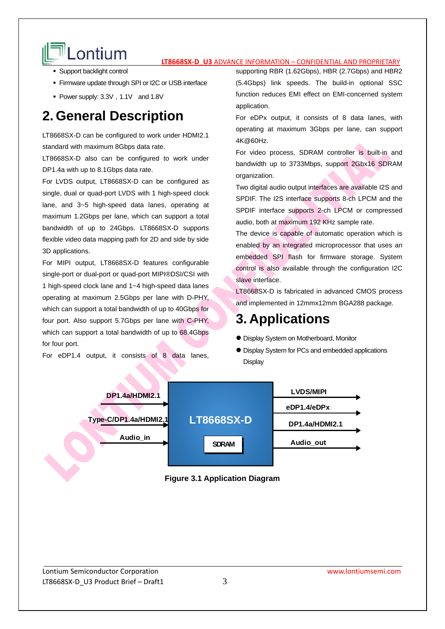# **LONTIUM** ET ABOUS ADVANCE INFORMATION – CONFIDENTIAL AND PROPRIETARY

- **Support backlight control**
- Firmware update through SPI or I2C or USB interface
- Power supply: 3.3V, 1.1V and 1.8V

## **2. General Description**

LT8668SX-D can be configured to work under HDMI2.1 standard with maximum 8Gbps data rate.

LT8668SX-D also can be configured to work under DP1.4a with up to 8.1Gbps data rate.

For LVDS output, LT8668SX-D can be configured as single, dual or quad-port LVDS with 1 high-speed clock lane, and 3~5 high-speed data lanes, operating at maximum 1.2Gbps per lane, which can support a total bandwidth of up to 24Gbps. LT8668SX-D supports flexible video data mapping path for 2D and side by side 3D applications.

For MIPI output, LT8668SX-D features configurable single-port or dual-port or quad-port MIPI®DSI/CSI with 1 high-speed clock lane and 1~4 high-speed data lanes operating at maximum 2.5Gbps per lane with D-PHY, which can support a total bandwidth of up to 40Gbps for four port. Also support 5.7Gbps per lane with C-PHY, which can support a total bandwidth of up to 68.4Gbps for four port.

For eDP1.4 output, it consists of 8 data lanes,

supporting RBR (1.62Gbps), HBR (2.7Gbps) and HBR2 (5.4Gbps) link speeds. The build-in optional SSC function reduces EMI effect on EMI-concerned system application.

For eDPx output, it consists of 8 data lanes, with operating at maximum 3Gbps per lane, can support 4K@60Hz.

For video process, SDRAM controller is built-in and bandwidth up to 3733Mbps, support 2Gbx16 SDRAM organization.

Two digital audio output interfaces are available I2S and SPDIF. The I2S interface supports 8-ch LPCM and the SPDIF interface supports 2-ch LPCM or compressed audio, both at maximum 192 KHz sample rate.

The device is capable of automatic operation which is enabled by an integrated microprocessor that uses an embedded SPI flash for firmware storage. System control is also available through the configuration I2C slave interface.

LT8668SX-D is fabricated in advanced CMOS process and implemented in 12mmx12mm BGA288 package.

## **3. Applications**

- Display System on Motherboard, Monitor
- Display System for PCs and embedded applications **Display**



## **Figure 3.1 Application Diagram**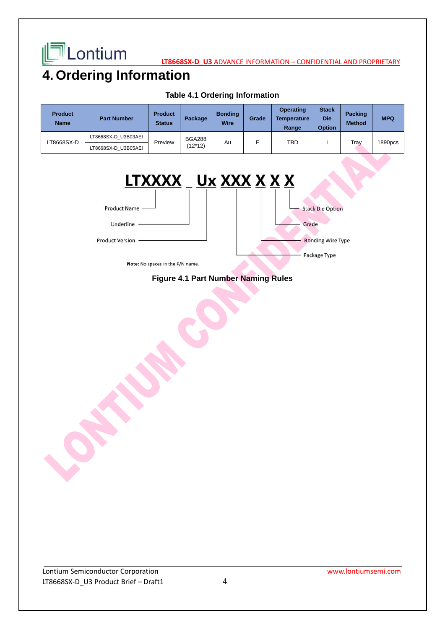

**LT8668SX-D\_U3** ADVANCE INFORMATION - CONFIDENTIAL AND PROPRIETARY

## 4. Ordering Information

| <b>Product</b><br><b>Name</b> | <b>Part Number</b>  | <b>Product</b><br><b>Status</b> | Package                  | <b>Bonding</b><br><b>Wire</b> | Grade | <b>Operating</b><br><b>Temperature</b><br>Range | <b>Stack</b><br><b>Die</b><br><b>Option</b> | <b>Packing</b><br><b>Method</b> | <b>MPQ</b> |
|-------------------------------|---------------------|---------------------------------|--------------------------|-------------------------------|-------|-------------------------------------------------|---------------------------------------------|---------------------------------|------------|
| LT8668SX-D                    | LT8668SX-D U3B03AEI | Preview                         | <b>BGA288</b><br>(12*12) | Au                            |       | TBD                                             |                                             | Trav                            | 1890pcs    |
|                               | LT8668SX-D U3B05AEI |                                 |                          |                               |       |                                                 |                                             |                                 |            |

## **Table 4.1 Ordering Information**



## **Figure 4.1 Part Number Naming Rules**